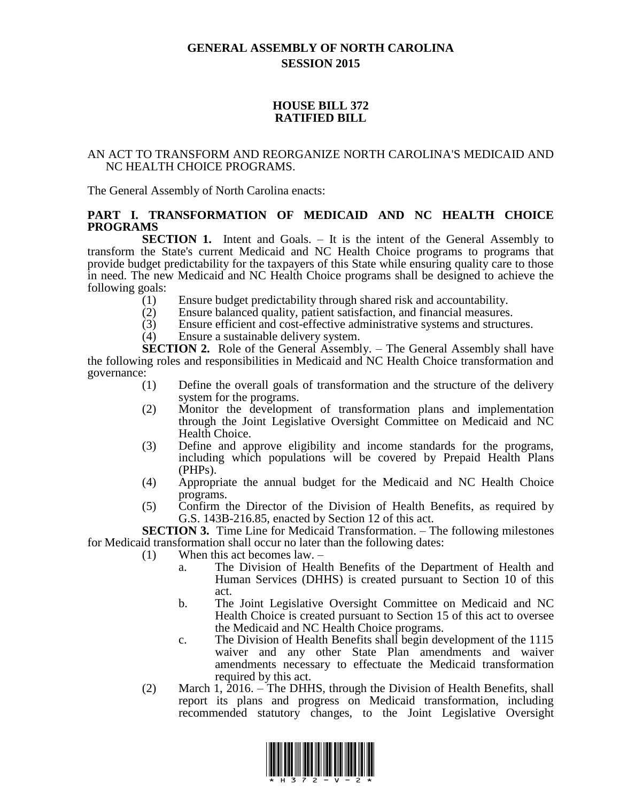# **GENERAL ASSEMBLY OF NORTH CAROLINA SESSION 2015**

### **HOUSE BILL 372 RATIFIED BILL**

#### AN ACT TO TRANSFORM AND REORGANIZE NORTH CAROLINA'S MEDICAID AND NC HEALTH CHOICE PROGRAMS.

The General Assembly of North Carolina enacts:

### **PART I. TRANSFORMATION OF MEDICAID AND NC HEALTH CHOICE PROGRAMS**

**SECTION 1.** Intent and Goals. – It is the intent of the General Assembly to transform the State's current Medicaid and NC Health Choice programs to programs that provide budget predictability for the taxpayers of this State while ensuring quality care to those in need. The new Medicaid and NC Health Choice programs shall be designed to achieve the following goals:

- (1) Ensure budget predictability through shared risk and accountability.
- (2) Ensure balanced quality, patient satisfaction, and financial measures.
- (3) Ensure efficient and cost-effective administrative systems and structures.
- (4) Ensure a sustainable delivery system.

**SECTION 2.** Role of the General Assembly. – The General Assembly shall have the following roles and responsibilities in Medicaid and NC Health Choice transformation and governance:

- (1) Define the overall goals of transformation and the structure of the delivery system for the programs.
- (2) Monitor the development of transformation plans and implementation through the Joint Legislative Oversight Committee on Medicaid and NC Health Choice.
- (3) Define and approve eligibility and income standards for the programs, including which populations will be covered by Prepaid Health Plans (PHPs).
- (4) Appropriate the annual budget for the Medicaid and NC Health Choice programs.
- (5) Confirm the Director of the Division of Health Benefits, as required by G.S. 143B-216.85, enacted by Section 12 of this act.

**SECTION 3.** Time Line for Medicaid Transformation. – The following milestones for Medicaid transformation shall occur no later than the following dates:

- (1) When this act becomes law.
	- a. The Division of Health Benefits of the Department of Health and Human Services (DHHS) is created pursuant to Section 10 of this act.
	- b. The Joint Legislative Oversight Committee on Medicaid and NC Health Choice is created pursuant to Section 15 of this act to oversee the Medicaid and NC Health Choice programs.
	- c. The Division of Health Benefits shall begin development of the 1115 waiver and any other State Plan amendments and waiver amendments necessary to effectuate the Medicaid transformation required by this act.
- (2) March 1, 2016. The DHHS, through the Division of Health Benefits, shall report its plans and progress on Medicaid transformation, including recommended statutory changes, to the Joint Legislative Oversight

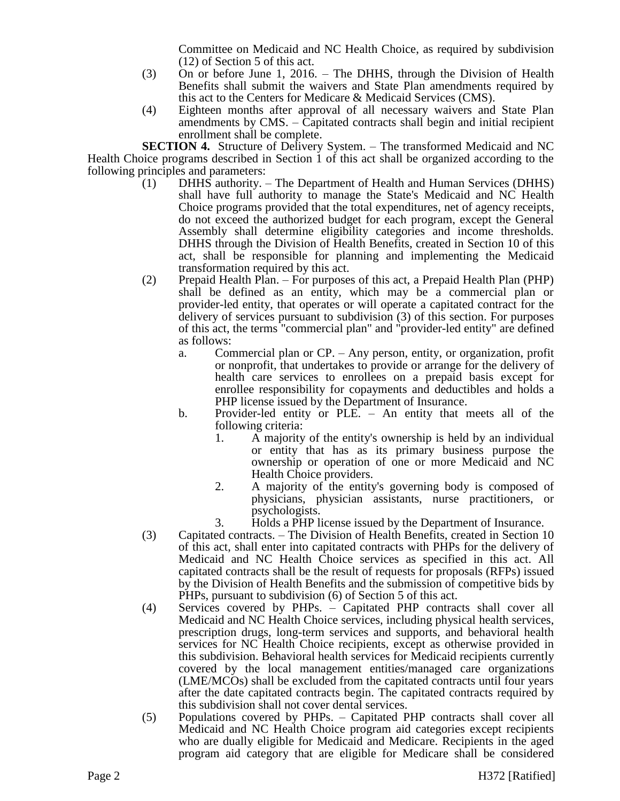Committee on Medicaid and NC Health Choice, as required by subdivision (12) of Section 5 of this act.

- (3) On or before June 1, 2016. The DHHS, through the Division of Health Benefits shall submit the waivers and State Plan amendments required by this act to the Centers for Medicare & Medicaid Services (CMS).
- (4) Eighteen months after approval of all necessary waivers and State Plan amendments by CMS. – Capitated contracts shall begin and initial recipient enrollment shall be complete.

**SECTION 4.** Structure of Delivery System. – The transformed Medicaid and NC Health Choice programs described in Section 1 of this act shall be organized according to the following principles and parameters:

- $(1)$  DHHS authority. The Department of Health and Human Services (DHHS) shall have full authority to manage the State's Medicaid and NC Health Choice programs provided that the total expenditures, net of agency receipts, do not exceed the authorized budget for each program, except the General Assembly shall determine eligibility categories and income thresholds. DHHS through the Division of Health Benefits, created in Section 10 of this act, shall be responsible for planning and implementing the Medicaid transformation required by this act.
- (2) Prepaid Health Plan. For purposes of this act, a Prepaid Health Plan (PHP) shall be defined as an entity, which may be a commercial plan or provider-led entity, that operates or will operate a capitated contract for the delivery of services pursuant to subdivision (3) of this section. For purposes of this act, the terms "commercial plan" and "provider-led entity" are defined as follows:
	- a. Commercial plan or CP. Any person, entity, or organization, profit or nonprofit, that undertakes to provide or arrange for the delivery of health care services to enrollees on a prepaid basis except for enrollee responsibility for copayments and deductibles and holds a PHP license issued by the Department of Insurance.
	- b. Provider-led entity or PLE. An entity that meets all of the following criteria:
		- 1. A majority of the entity's ownership is held by an individual or entity that has as its primary business purpose the ownership or operation of one or more Medicaid and NC Health Choice providers.
		- 2. A majority of the entity's governing body is composed of physicians, physician assistants, nurse practitioners, or psychologists.
		- 3. Holds a PHP license issued by the Department of Insurance.
- (3) Capitated contracts. The Division of Health Benefits, created in Section 10 of this act, shall enter into capitated contracts with PHPs for the delivery of Medicaid and NC Health Choice services as specified in this act. All capitated contracts shall be the result of requests for proposals (RFPs) issued by the Division of Health Benefits and the submission of competitive bids by PHPs, pursuant to subdivision (6) of Section 5 of this act.
- (4) Services covered by PHPs. Capitated PHP contracts shall cover all Medicaid and NC Health Choice services, including physical health services, prescription drugs, long-term services and supports, and behavioral health services for NC Health Choice recipients, except as otherwise provided in this subdivision. Behavioral health services for Medicaid recipients currently covered by the local management entities/managed care organizations (LME/MCOs) shall be excluded from the capitated contracts until four years after the date capitated contracts begin. The capitated contracts required by this subdivision shall not cover dental services.
- (5) Populations covered by PHPs. Capitated PHP contracts shall cover all Medicaid and NC Health Choice program aid categories except recipients who are dually eligible for Medicaid and Medicare. Recipients in the aged program aid category that are eligible for Medicare shall be considered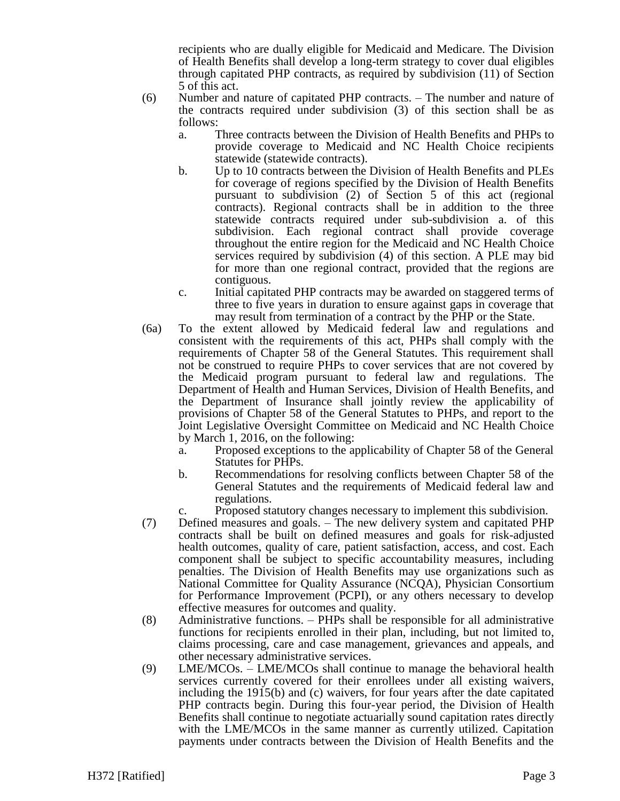recipients who are dually eligible for Medicaid and Medicare. The Division of Health Benefits shall develop a long-term strategy to cover dual eligibles through capitated PHP contracts, as required by subdivision (11) of Section 5 of this act.

- (6) Number and nature of capitated PHP contracts. The number and nature of the contracts required under subdivision (3) of this section shall be as follows:
	- a. Three contracts between the Division of Health Benefits and PHPs to provide coverage to Medicaid and NC Health Choice recipients statewide (statewide contracts).
	- b. Up to 10 contracts between the Division of Health Benefits and PLEs for coverage of regions specified by the Division of Health Benefits pursuant to subdivision (2) of Section 5 of this act (regional contracts). Regional contracts shall be in addition to the three statewide contracts required under sub-subdivision a. of this subdivision. Each regional contract shall provide coverage throughout the entire region for the Medicaid and NC Health Choice services required by subdivision (4) of this section. A PLE may bid for more than one regional contract, provided that the regions are contiguous.
	- c. Initial capitated PHP contracts may be awarded on staggered terms of three to five years in duration to ensure against gaps in coverage that may result from termination of a contract by the PHP or the State.
- (6a) To the extent allowed by Medicaid federal law and regulations and consistent with the requirements of this act, PHPs shall comply with the requirements of Chapter 58 of the General Statutes. This requirement shall not be construed to require PHPs to cover services that are not covered by the Medicaid program pursuant to federal law and regulations. The Department of Health and Human Services, Division of Health Benefits, and the Department of Insurance shall jointly review the applicability of provisions of Chapter 58 of the General Statutes to PHPs, and report to the Joint Legislative Oversight Committee on Medicaid and NC Health Choice by March 1, 2016, on the following:
	- a. Proposed exceptions to the applicability of Chapter 58 of the General Statutes for PHPs.
	- b. Recommendations for resolving conflicts between Chapter 58 of the General Statutes and the requirements of Medicaid federal law and regulations.
	- c. Proposed statutory changes necessary to implement this subdivision.
- (7) Defined measures and goals. The new delivery system and capitated PHP contracts shall be built on defined measures and goals for risk-adjusted health outcomes, quality of care, patient satisfaction, access, and cost. Each component shall be subject to specific accountability measures, including penalties. The Division of Health Benefits may use organizations such as National Committee for Quality Assurance (NCQA), Physician Consortium for Performance Improvement (PCPI), or any others necessary to develop effective measures for outcomes and quality.
- (8) Administrative functions. PHPs shall be responsible for all administrative functions for recipients enrolled in their plan, including, but not limited to, claims processing, care and case management, grievances and appeals, and other necessary administrative services.
- (9) LME/MCOs. LME/MCOs shall continue to manage the behavioral health services currently covered for their enrollees under all existing waivers, including the 1915(b) and (c) waivers, for four years after the date capitated PHP contracts begin. During this four-year period, the Division of Health Benefits shall continue to negotiate actuarially sound capitation rates directly with the LME/MCOs in the same manner as currently utilized. Capitation payments under contracts between the Division of Health Benefits and the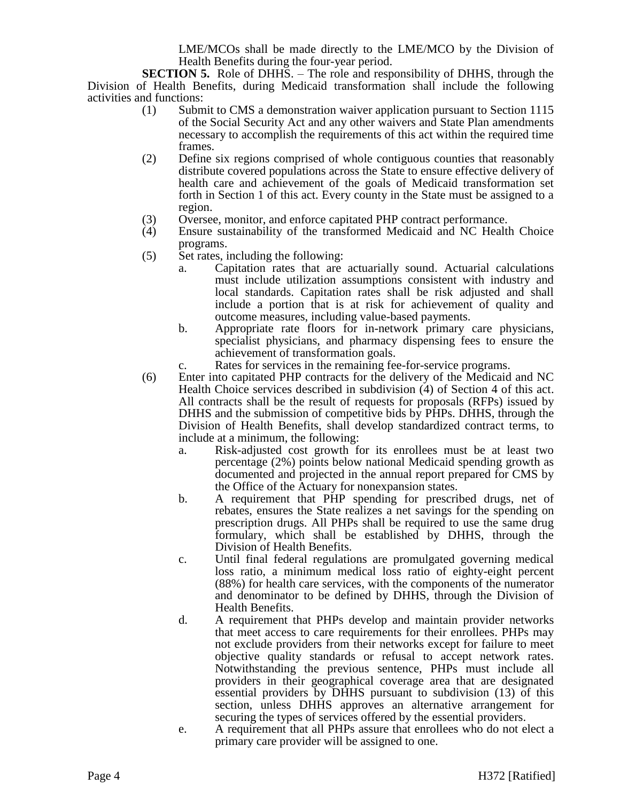LME/MCOs shall be made directly to the LME/MCO by the Division of Health Benefits during the four-year period.

**SECTION 5.** Role of DHHS. – The role and responsibility of DHHS, through the Division of Health Benefits, during Medicaid transformation shall include the following activities and functions:

- (1) Submit to CMS a demonstration waiver application pursuant to Section 1115 of the Social Security Act and any other waivers and State Plan amendments necessary to accomplish the requirements of this act within the required time frames.
- (2) Define six regions comprised of whole contiguous counties that reasonably distribute covered populations across the State to ensure effective delivery of health care and achievement of the goals of Medicaid transformation set forth in Section 1 of this act. Every county in the State must be assigned to a region.
- (3) Oversee, monitor, and enforce capitated PHP contract performance.
- (4) Ensure sustainability of the transformed Medicaid and NC Health Choice programs.
- (5) Set rates, including the following:
	- a. Capitation rates that are actuarially sound. Actuarial calculations must include utilization assumptions consistent with industry and local standards. Capitation rates shall be risk adjusted and shall include a portion that is at risk for achievement of quality and outcome measures, including value-based payments.
	- b. Appropriate rate floors for in-network primary care physicians, specialist physicians, and pharmacy dispensing fees to ensure the achievement of transformation goals.
	- c. Rates for services in the remaining fee-for-service programs.
- (6) Enter into capitated PHP contracts for the delivery of the Medicaid and NC Health Choice services described in subdivision (4) of Section 4 of this act. All contracts shall be the result of requests for proposals (RFPs) issued by DHHS and the submission of competitive bids by PHPs. DHHS, through the Division of Health Benefits, shall develop standardized contract terms, to include at a minimum, the following:
	- a. Risk-adjusted cost growth for its enrollees must be at least two percentage (2%) points below national Medicaid spending growth as documented and projected in the annual report prepared for CMS by the Office of the Actuary for nonexpansion states.
	- b. A requirement that PHP spending for prescribed drugs, net of rebates, ensures the State realizes a net savings for the spending on prescription drugs. All PHPs shall be required to use the same drug formulary, which shall be established by DHHS, through the Division of Health Benefits.
	- c. Until final federal regulations are promulgated governing medical loss ratio, a minimum medical loss ratio of eighty-eight percent (88%) for health care services, with the components of the numerator and denominator to be defined by DHHS, through the Division of Health Benefits.
	- d. A requirement that PHPs develop and maintain provider networks that meet access to care requirements for their enrollees. PHPs may not exclude providers from their networks except for failure to meet objective quality standards or refusal to accept network rates. Notwithstanding the previous sentence, PHPs must include all providers in their geographical coverage area that are designated essential providers by DHHS pursuant to subdivision (13) of this section, unless DHHS approves an alternative arrangement for securing the types of services offered by the essential providers.
	- e. A requirement that all PHPs assure that enrollees who do not elect a primary care provider will be assigned to one.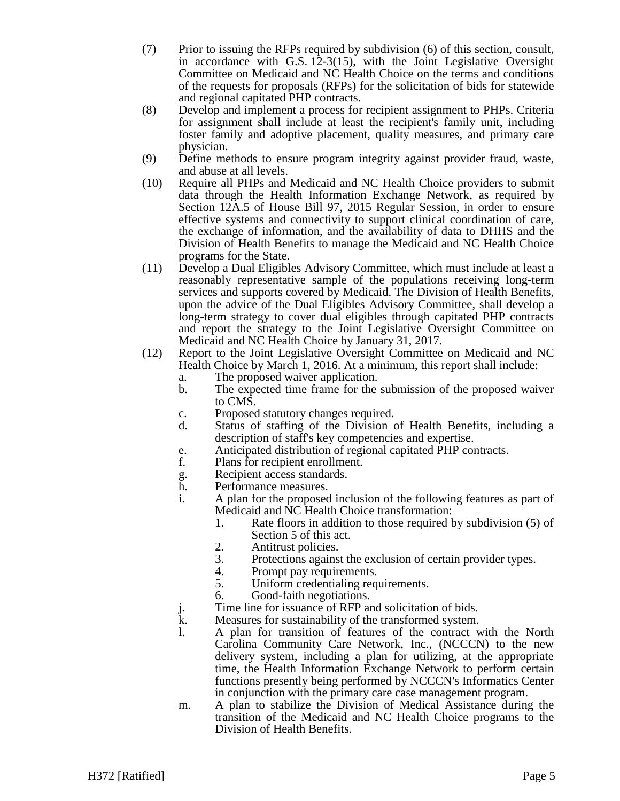- (7) Prior to issuing the RFPs required by subdivision (6) of this section, consult, in accordance with G.S. 12-3(15), with the Joint Legislative Oversight Committee on Medicaid and NC Health Choice on the terms and conditions of the requests for proposals (RFPs) for the solicitation of bids for statewide and regional capitated PHP contracts.
- (8) Develop and implement a process for recipient assignment to PHPs. Criteria for assignment shall include at least the recipient's family unit, including foster family and adoptive placement, quality measures, and primary care physician.
- (9) Define methods to ensure program integrity against provider fraud, waste, and abuse at all levels.
- (10) Require all PHPs and Medicaid and NC Health Choice providers to submit data through the Health Information Exchange Network, as required by Section 12A.5 of House Bill 97, 2015 Regular Session, in order to ensure effective systems and connectivity to support clinical coordination of care, the exchange of information, and the availability of data to DHHS and the Division of Health Benefits to manage the Medicaid and NC Health Choice programs for the State.
- (11) Develop a Dual Eligibles Advisory Committee, which must include at least a reasonably representative sample of the populations receiving long-term services and supports covered by Medicaid. The Division of Health Benefits, upon the advice of the Dual Eligibles Advisory Committee, shall develop a long-term strategy to cover dual eligibles through capitated PHP contracts and report the strategy to the Joint Legislative Oversight Committee on Medicaid and NC Health Choice by January 31, 2017.
- (12) Report to the Joint Legislative Oversight Committee on Medicaid and NC Health Choice by March 1, 2016. At a minimum, this report shall include:
	- a. The proposed waiver application.
	- b. The expected time frame for the submission of the proposed waiver to CMS.
	- c. Proposed statutory changes required.
	- d. Status of staffing of the Division of Health Benefits, including a description of staff's key competencies and expertise.
	- e. Anticipated distribution of regional capitated PHP contracts.
	- f. Plans for recipient enrollment.
	- g. Recipient access standards.<br>h Performance measures.
	- Performance measures.
	- i. A plan for the proposed inclusion of the following features as part of Medicaid and NC Health Choice transformation:
		- 1. Rate floors in addition to those required by subdivision (5) of Section 5 of this act.
		- 2. Antitrust policies.
		- 3. Protections against the exclusion of certain provider types.
		- 4. Prompt pay requirements.<br>5. Uniform credentialing req
		- Uniform credentialing requirements.
		- 6. Good-faith negotiations.
	- j. Time line for issuance of RFP and solicitation of bids.<br>
	k. Measures for sustainability of the transformed system.
	- Measures for sustainability of the transformed system.
	- l. A plan for transition of features of the contract with the North Carolina Community Care Network, Inc., (NCCCN) to the new delivery system, including a plan for utilizing, at the appropriate time, the Health Information Exchange Network to perform certain functions presently being performed by NCCCN's Informatics Center in conjunction with the primary care case management program.
	- m. A plan to stabilize the Division of Medical Assistance during the transition of the Medicaid and NC Health Choice programs to the Division of Health Benefits.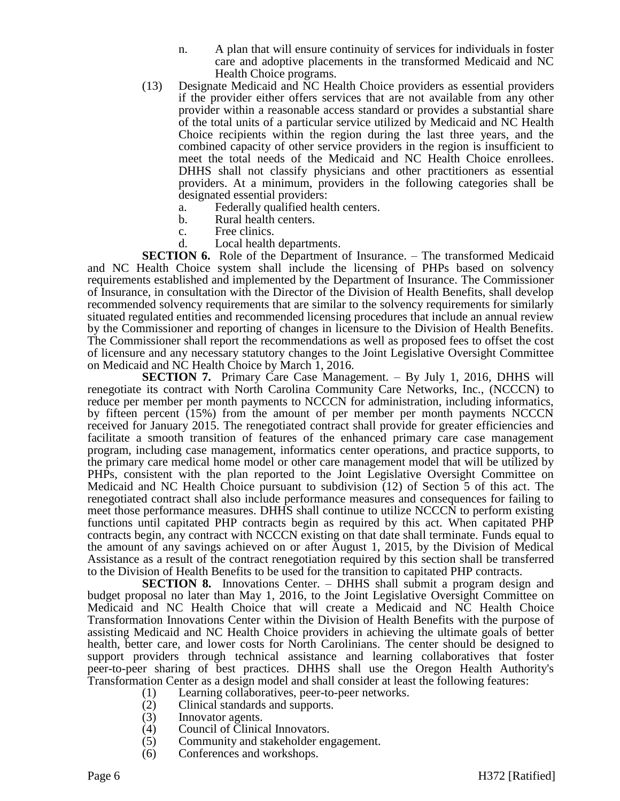- n. A plan that will ensure continuity of services for individuals in foster care and adoptive placements in the transformed Medicaid and NC Health Choice programs.
- (13) Designate Medicaid and NC Health Choice providers as essential providers if the provider either offers services that are not available from any other provider within a reasonable access standard or provides a substantial share of the total units of a particular service utilized by Medicaid and NC Health Choice recipients within the region during the last three years, and the combined capacity of other service providers in the region is insufficient to meet the total needs of the Medicaid and NC Health Choice enrollees. DHHS shall not classify physicians and other practitioners as essential providers. At a minimum, providers in the following categories shall be designated essential providers:
	- a. Federally qualified health centers.
	- b. Rural health centers.
	- c. Free clinics.
	- d. Local health departments.

**SECTION 6.** Role of the Department of Insurance. – The transformed Medicaid and NC Health Choice system shall include the licensing of PHPs based on solvency requirements established and implemented by the Department of Insurance. The Commissioner of Insurance, in consultation with the Director of the Division of Health Benefits, shall develop recommended solvency requirements that are similar to the solvency requirements for similarly situated regulated entities and recommended licensing procedures that include an annual review by the Commissioner and reporting of changes in licensure to the Division of Health Benefits. The Commissioner shall report the recommendations as well as proposed fees to offset the cost of licensure and any necessary statutory changes to the Joint Legislative Oversight Committee on Medicaid and NC Health Choice by March 1, 2016.

**SECTION 7.** Primary Care Case Management. – By July 1, 2016, DHHS will renegotiate its contract with North Carolina Community Care Networks, Inc., (NCCCN) to reduce per member per month payments to NCCCN for administration, including informatics, by fifteen percent (15%) from the amount of per member per month payments NCCCN received for January 2015. The renegotiated contract shall provide for greater efficiencies and facilitate a smooth transition of features of the enhanced primary care case management program, including case management, informatics center operations, and practice supports, to the primary care medical home model or other care management model that will be utilized by PHPs, consistent with the plan reported to the Joint Legislative Oversight Committee on Medicaid and NC Health Choice pursuant to subdivision (12) of Section 5 of this act. The renegotiated contract shall also include performance measures and consequences for failing to meet those performance measures. DHHS shall continue to utilize NCCCN to perform existing functions until capitated PHP contracts begin as required by this act. When capitated PHP contracts begin, any contract with NCCCN existing on that date shall terminate. Funds equal to the amount of any savings achieved on or after August 1, 2015, by the Division of Medical Assistance as a result of the contract renegotiation required by this section shall be transferred to the Division of Health Benefits to be used for the transition to capitated PHP contracts.

**SECTION 8.** Innovations Center. – DHHS shall submit a program design and budget proposal no later than May 1, 2016, to the Joint Legislative Oversight Committee on Medicaid and NC Health Choice that will create a Medicaid and NC Health Choice Transformation Innovations Center within the Division of Health Benefits with the purpose of assisting Medicaid and NC Health Choice providers in achieving the ultimate goals of better health, better care, and lower costs for North Carolinians. The center should be designed to support providers through technical assistance and learning collaboratives that foster peer-to-peer sharing of best practices. DHHS shall use the Oregon Health Authority's Transformation Center as a design model and shall consider at least the following features:

- (1) Learning collaboratives, peer-to-peer networks.
- (2) Clinical standards and supports.
- (3) Innovator agents.
- (4) Council of Clinical Innovators.
- (5) Community and stakeholder engagement.
- (6) Conferences and workshops.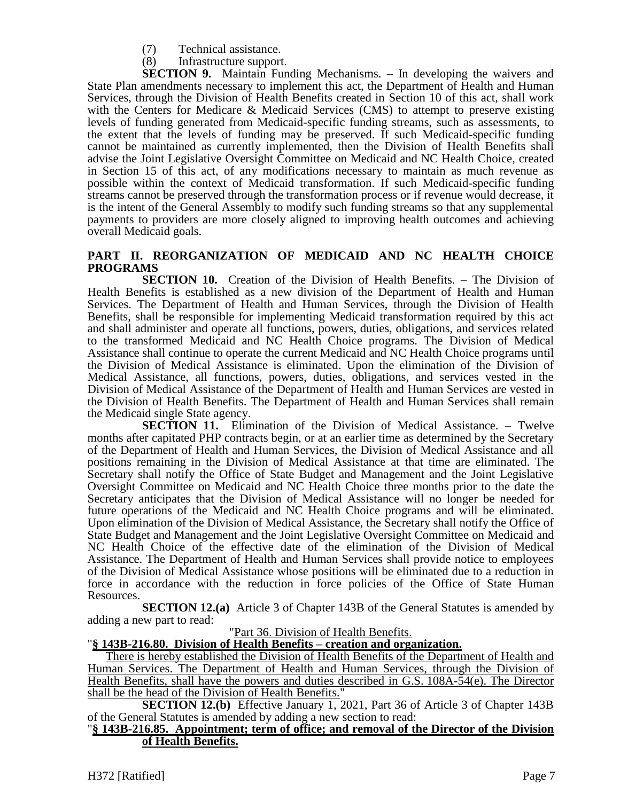- (7) Technical assistance.
- (8) Infrastructure support.

**SECTION 9.** Maintain Funding Mechanisms. – In developing the waivers and State Plan amendments necessary to implement this act, the Department of Health and Human Services, through the Division of Health Benefits created in Section 10 of this act, shall work with the Centers for Medicare & Medicaid Services (CMS) to attempt to preserve existing levels of funding generated from Medicaid-specific funding streams, such as assessments, to the extent that the levels of funding may be preserved. If such Medicaid-specific funding cannot be maintained as currently implemented, then the Division of Health Benefits shall advise the Joint Legislative Oversight Committee on Medicaid and NC Health Choice, created in Section 15 of this act, of any modifications necessary to maintain as much revenue as possible within the context of Medicaid transformation. If such Medicaid-specific funding streams cannot be preserved through the transformation process or if revenue would decrease, it is the intent of the General Assembly to modify such funding streams so that any supplemental payments to providers are more closely aligned to improving health outcomes and achieving overall Medicaid goals.

# **PART II. REORGANIZATION OF MEDICAID AND NC HEALTH CHOICE PROGRAMS**

**SECTION 10.** Creation of the Division of Health Benefits. – The Division of Health Benefits is established as a new division of the Department of Health and Human Services. The Department of Health and Human Services, through the Division of Health Benefits, shall be responsible for implementing Medicaid transformation required by this act and shall administer and operate all functions, powers, duties, obligations, and services related to the transformed Medicaid and NC Health Choice programs. The Division of Medical Assistance shall continue to operate the current Medicaid and NC Health Choice programs until the Division of Medical Assistance is eliminated. Upon the elimination of the Division of Medical Assistance, all functions, powers, duties, obligations, and services vested in the Division of Medical Assistance of the Department of Health and Human Services are vested in the Division of Health Benefits. The Department of Health and Human Services shall remain the Medicaid single State agency.

**SECTION 11.** Elimination of the Division of Medical Assistance. – Twelve months after capitated PHP contracts begin, or at an earlier time as determined by the Secretary of the Department of Health and Human Services, the Division of Medical Assistance and all positions remaining in the Division of Medical Assistance at that time are eliminated. The Secretary shall notify the Office of State Budget and Management and the Joint Legislative Oversight Committee on Medicaid and NC Health Choice three months prior to the date the Secretary anticipates that the Division of Medical Assistance will no longer be needed for future operations of the Medicaid and NC Health Choice programs and will be eliminated. Upon elimination of the Division of Medical Assistance, the Secretary shall notify the Office of State Budget and Management and the Joint Legislative Oversight Committee on Medicaid and NC Health Choice of the effective date of the elimination of the Division of Medical Assistance. The Department of Health and Human Services shall provide notice to employees of the Division of Medical Assistance whose positions will be eliminated due to a reduction in force in accordance with the reduction in force policies of the Office of State Human Resources.

**SECTION 12.(a)** Article 3 of Chapter 143B of the General Statutes is amended by adding a new part to read:

#### "Part 36. Division of Health Benefits.

# "**§ 143B-216.80. Division of Health Benefits – creation and organization.**

There is hereby established the Division of Health Benefits of the Department of Health and Human Services. The Department of Health and Human Services, through the Division of Health Benefits, shall have the powers and duties described in G.S. 108A-54(e). The Director shall be the head of the Division of Health Benefits."

**SECTION 12.(b)** Effective January 1, 2021, Part 36 of Article 3 of Chapter 143B of the General Statutes is amended by adding a new section to read:

#### "**§ 143B-216.85. Appointment; term of office; and removal of the Director of the Division of Health Benefits.**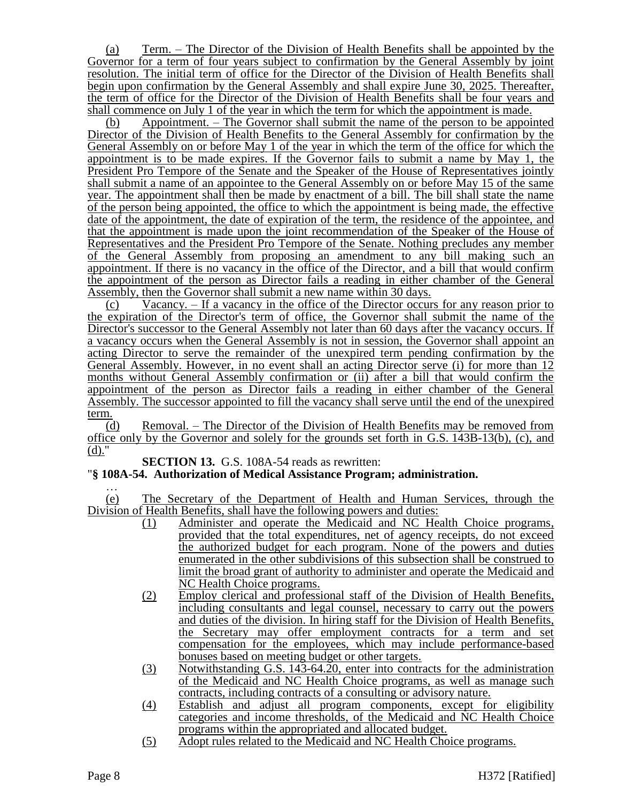(a) Term. – The Director of the Division of Health Benefits shall be appointed by the Governor for a term of four years subject to confirmation by the General Assembly by joint resolution. The initial term of office for the Director of the Division of Health Benefits shall begin upon confirmation by the General Assembly and shall expire June 30, 2025. Thereafter, the term of office for the Director of the Division of Health Benefits shall be four years and shall commence on July 1 of the year in which the term for which the appointment is made.

(b) Appointment. – The Governor shall submit the name of the person to be appointed Director of the Division of Health Benefits to the General Assembly for confirmation by the General Assembly on or before May 1 of the year in which the term of the office for which the appointment is to be made expires. If the Governor fails to submit a name by May 1, the President Pro Tempore of the Senate and the Speaker of the House of Representatives jointly shall submit a name of an appointee to the General Assembly on or before May 15 of the same year. The appointment shall then be made by enactment of a bill. The bill shall state the name of the person being appointed, the office to which the appointment is being made, the effective date of the appointment, the date of expiration of the term, the residence of the appointee, and that the appointment is made upon the joint recommendation of the Speaker of the House of Representatives and the President Pro Tempore of the Senate. Nothing precludes any member of the General Assembly from proposing an amendment to any bill making such an appointment. If there is no vacancy in the office of the Director, and a bill that would confirm the appointment of the person as Director fails a reading in either chamber of the General Assembly, then the Governor shall submit a new name within 30 days.

(c) Vacancy. – If a vacancy in the office of the Director occurs for any reason prior to the expiration of the Director's term of office, the Governor shall submit the name of the Director's successor to the General Assembly not later than 60 days after the vacancy occurs. If a vacancy occurs when the General Assembly is not in session, the Governor shall appoint an acting Director to serve the remainder of the unexpired term pending confirmation by the General Assembly. However, in no event shall an acting Director serve (i) for more than 12 months without General Assembly confirmation or (ii) after a bill that would confirm the appointment of the person as Director fails a reading in either chamber of the General Assembly. The successor appointed to fill the vacancy shall serve until the end of the unexpired term.

(d) Removal. – The Director of the Division of Health Benefits may be removed from office only by the Governor and solely for the grounds set forth in G.S. 143B-13(b), (c), and (d)."

**SECTION 13.** G.S. 108A-54 reads as rewritten:

# "**§ 108A-54. Authorization of Medical Assistance Program; administration.**

… (e) The Secretary of the Department of Health and Human Services, through the Division of Health Benefits, shall have the following powers and duties:

- (1) Administer and operate the Medicaid and NC Health Choice programs, provided that the total expenditures, net of agency receipts, do not exceed the authorized budget for each program. None of the powers and duties enumerated in the other subdivisions of this subsection shall be construed to limit the broad grant of authority to administer and operate the Medicaid and NC Health Choice programs.
- (2) Employ clerical and professional staff of the Division of Health Benefits, including consultants and legal counsel, necessary to carry out the powers and duties of the division. In hiring staff for the Division of Health Benefits, the Secretary may offer employment contracts for a term and set compensation for the employees, which may include performance-based bonuses based on meeting budget or other targets.
- (3) Notwithstanding G.S. 143-64.20, enter into contracts for the administration of the Medicaid and NC Health Choice programs, as well as manage such contracts, including contracts of a consulting or advisory nature.
- (4) Establish and adjust all program components, except for eligibility categories and income thresholds, of the Medicaid and NC Health Choice programs within the appropriated and allocated budget.
- (5) Adopt rules related to the Medicaid and NC Health Choice programs.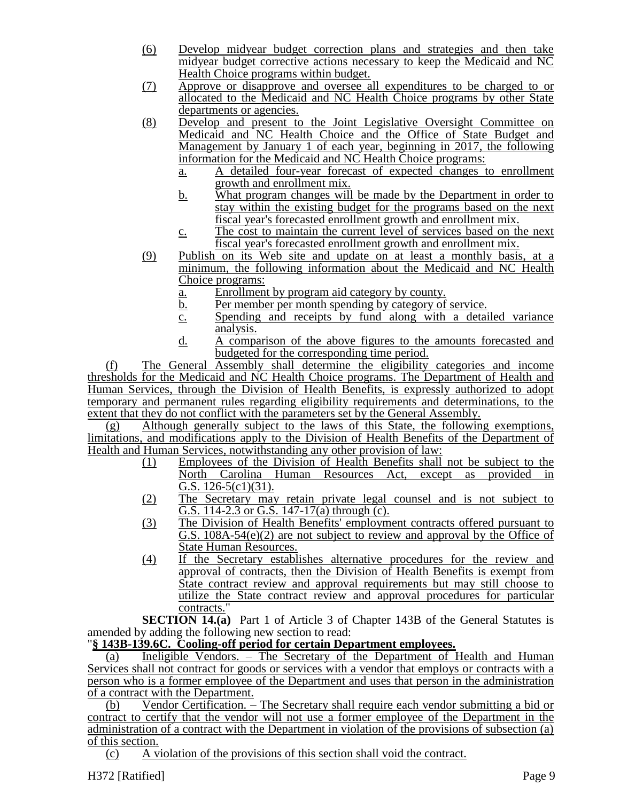- (6) Develop midyear budget correction plans and strategies and then take midyear budget corrective actions necessary to keep the Medicaid and NC Health Choice programs within budget.
- (7) Approve or disapprove and oversee all expenditures to be charged to or allocated to the Medicaid and NC Health Choice programs by other State departments or agencies.
- (8) Develop and present to the Joint Legislative Oversight Committee on Medicaid and NC Health Choice and the Office of State Budget and Management by January 1 of each year, beginning in 2017, the following information for the Medicaid and NC Health Choice programs:
	- a. A detailed four-year forecast of expected changes to enrollment growth and enrollment mix.
	- b. What program changes will be made by the Department in order to stay within the existing budget for the programs based on the next fiscal year's forecasted enrollment growth and enrollment mix.
	- c. The cost to maintain the current level of services based on the next fiscal year's forecasted enrollment growth and enrollment mix.
- (9) Publish on its Web site and update on at least a monthly basis, at a minimum, the following information about the Medicaid and NC Health Choice programs:
	- a. Enrollment by program aid category by county.
	- b. Per member per month spending by category of service.
	- c. Spending and receipts by fund along with a detailed variance analysis.
	- d. A comparison of the above figures to the amounts forecasted and budgeted for the corresponding time period.

(f) The General Assembly shall determine the eligibility categories and income thresholds for the Medicaid and NC Health Choice programs. The Department of Health and Human Services, through the Division of Health Benefits, is expressly authorized to adopt temporary and permanent rules regarding eligibility requirements and determinations, to the extent that they do not conflict with the parameters set by the General Assembly.

(g) Although generally subject to the laws of this State, the following exemptions, limitations, and modifications apply to the Division of Health Benefits of the Department of Health and Human Services, notwithstanding any other provision of law:

- (1) Employees of the Division of Health Benefits shall not be subject to the North Carolina Human Resources Act, except as provided in G.S. 126-5(c1)(31).
- (2) The Secretary may retain private legal counsel and is not subject to G.S. 114-2.3 or G.S. 147-17(a) through (c).
- (3) The Division of Health Benefits' employment contracts offered pursuant to G.S. 108A-54(e)(2) are not subject to review and approval by the Office of State Human Resources.
- (4) If the Secretary establishes alternative procedures for the review and approval of contracts, then the Division of Health Benefits is exempt from State contract review and approval requirements but may still choose to utilize the State contract review and approval procedures for particular contracts."

**SECTION 14.(a)** Part 1 of Article 3 of Chapter 143B of the General Statutes is amended by adding the following new section to read:

# "**§ 143B-139.6C. Cooling-off period for certain Department employees.**

(a) Ineligible Vendors. – The Secretary of the Department of Health and Human Services shall not contract for goods or services with a vendor that employs or contracts with a person who is a former employee of the Department and uses that person in the administration of a contract with the Department.

(b) Vendor Certification. – The Secretary shall require each vendor submitting a bid or contract to certify that the vendor will not use a former employee of the Department in the administration of a contract with the Department in violation of the provisions of subsection (a) of this section.

(c) A violation of the provisions of this section shall void the contract.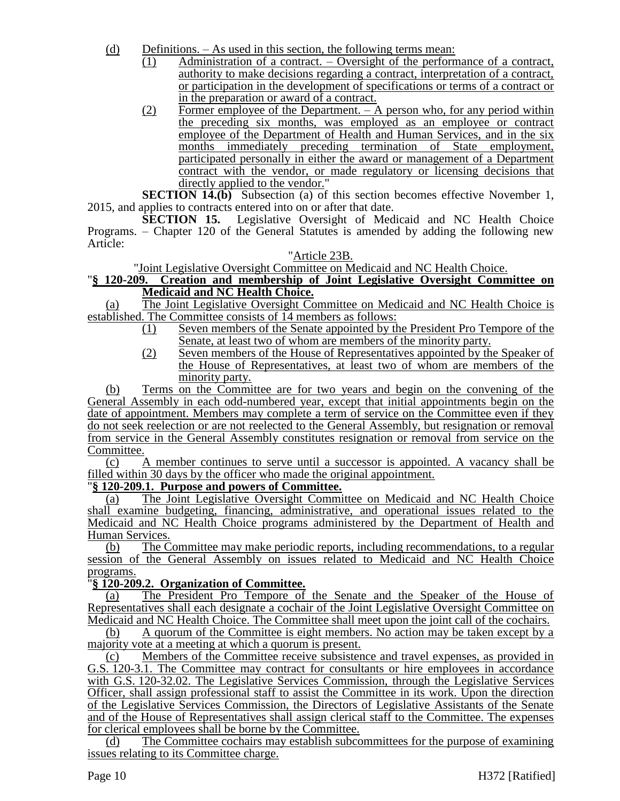- (d) Definitions. As used in this section, the following terms mean:
	- (1) Administration of a contract. Oversight of the performance of a contract, authority to make decisions regarding a contract, interpretation of a contract, or participation in the development of specifications or terms of a contract or in the preparation or award of a contract.
	- $(2)$  Former employee of the Department. A person who, for any period within the preceding six months, was employed as an employee or contract employee of the Department of Health and Human Services, and in the six months immediately preceding termination of State employment, participated personally in either the award or management of a Department contract with the vendor, or made regulatory or licensing decisions that directly applied to the vendor."

**SECTION 14.(b)** Subsection (a) of this section becomes effective November 1, 2015, and applies to contracts entered into on or after that date.

**SECTION 15.** Legislative Oversight of Medicaid and NC Health Choice Programs. – Chapter 120 of the General Statutes is amended by adding the following new Article:

#### "Article 23B.

"Joint Legislative Oversight Committee on Medicaid and NC Health Choice.

### "**§ 120-209. Creation and membership of Joint Legislative Oversight Committee on Medicaid and NC Health Choice.**

(a) The Joint Legislative Oversight Committee on Medicaid and NC Health Choice is established. The Committee consists of 14 members as follows:

- (1) Seven members of the Senate appointed by the President Pro Tempore of the Senate, at least two of whom are members of the minority party.
- (2) Seven members of the House of Representatives appointed by the Speaker of the House of Representatives, at least two of whom are members of the minority party.

(b) Terms on the Committee are for two years and begin on the convening of the General Assembly in each odd-numbered year, except that initial appointments begin on the date of appointment. Members may complete a term of service on the Committee even if they do not seek reelection or are not reelected to the General Assembly, but resignation or removal from service in the General Assembly constitutes resignation or removal from service on the Committee.

(c) A member continues to serve until a successor is appointed. A vacancy shall be filled within 30 days by the officer who made the original appointment.

# "**§ 120-209.1. Purpose and powers of Committee.**

(a) The Joint Legislative Oversight Committee on Medicaid and NC Health Choice shall examine budgeting, financing, administrative, and operational issues related to the Medicaid and NC Health Choice programs administered by the Department of Health and Human Services.

(b) The Committee may make periodic reports, including recommendations, to a regular session of the General Assembly on issues related to Medicaid and NC Health Choice programs.

# "**§ 120-209.2. Organization of Committee.**

(a) The President Pro Tempore of the Senate and the Speaker of the House of Representatives shall each designate a cochair of the Joint Legislative Oversight Committee on Medicaid and NC Health Choice. The Committee shall meet upon the joint call of the cochairs.

(b) A quorum of the Committee is eight members. No action may be taken except by a majority vote at a meeting at which a quorum is present.

(c) Members of the Committee receive subsistence and travel expenses, as provided in G.S. 120-3.1. The Committee may contract for consultants or hire employees in accordance with G.S. 120-32.02. The Legislative Services Commission, through the Legislative Services Officer, shall assign professional staff to assist the Committee in its work. Upon the direction of the Legislative Services Commission, the Directors of Legislative Assistants of the Senate and of the House of Representatives shall assign clerical staff to the Committee. The expenses for clerical employees shall be borne by the Committee.

(d) The Committee cochairs may establish subcommittees for the purpose of examining issues relating to its Committee charge.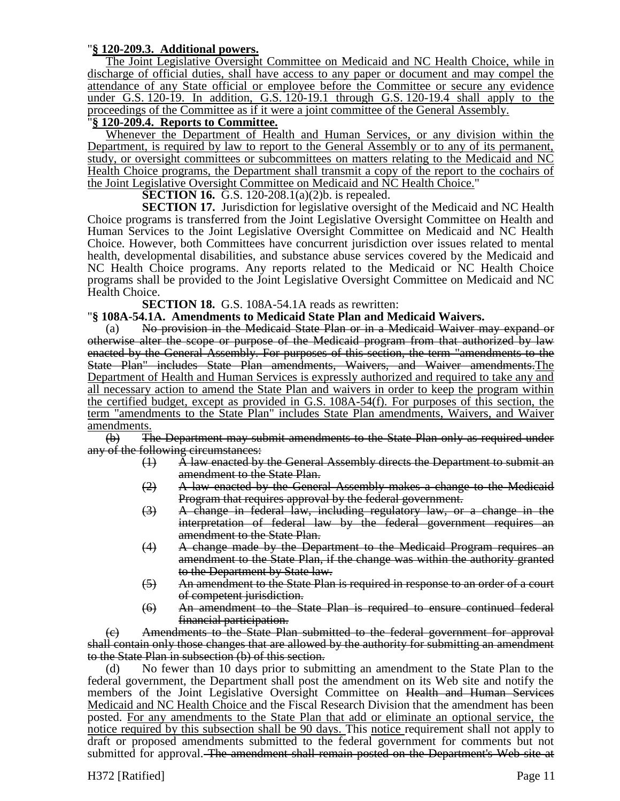#### "**§ 120-209.3. Additional powers.**

The Joint Legislative Oversight Committee on Medicaid and NC Health Choice, while in discharge of official duties, shall have access to any paper or document and may compel the attendance of any State official or employee before the Committee or secure any evidence under G.S. 120-19. In addition, G.S. 120-19.1 through G.S. 120-19.4 shall apply to the proceedings of the Committee as if it were a joint committee of the General Assembly.

### "**§ 120-209.4. Reports to Committee.**

Whenever the Department of Health and Human Services, or any division within the Department, is required by law to report to the General Assembly or to any of its permanent, study, or oversight committees or subcommittees on matters relating to the Medicaid and NC Health Choice programs, the Department shall transmit a copy of the report to the cochairs of the Joint Legislative Oversight Committee on Medicaid and NC Health Choice."

**SECTION 16.** G.S. 120-208.1(a)(2)b. is repealed.

**SECTION 17.** Jurisdiction for legislative oversight of the Medicaid and NC Health Choice programs is transferred from the Joint Legislative Oversight Committee on Health and Human Services to the Joint Legislative Oversight Committee on Medicaid and NC Health Choice. However, both Committees have concurrent jurisdiction over issues related to mental health, developmental disabilities, and substance abuse services covered by the Medicaid and NC Health Choice programs. Any reports related to the Medicaid or NC Health Choice programs shall be provided to the Joint Legislative Oversight Committee on Medicaid and NC Health Choice.

**SECTION 18.** G.S. 108A-54.1A reads as rewritten:

#### "**§ 108A-54.1A. Amendments to Medicaid State Plan and Medicaid Waivers.**

(a) No provision in the Medicaid State Plan or in a Medicaid Waiver may expand or otherwise alter the scope or purpose of the Medicaid program from that authorized by law enacted by the General Assembly. For purposes of this section, the term "amendments to the State Plan" includes State Plan amendments, Waivers, and Waiver amendments.The Department of Health and Human Services is expressly authorized and required to take any and all necessary action to amend the State Plan and waivers in order to keep the program within the certified budget, except as provided in G.S. 108A-54(f). For purposes of this section, the term "amendments to the State Plan" includes State Plan amendments, Waivers, and Waiver amendments.

(b) The Department may submit amendments to the State Plan only as required under any of the following circumstances:

- (1) A law enacted by the General Assembly directs the Department to submit an amendment to the State Plan.
- (2) A law enacted by the General Assembly makes a change to the Medicaid Program that requires approval by the federal government.
- (3) A change in federal law, including regulatory law, or a change in the interpretation of federal law by the federal government requires an amendment to the State Plan.
- (4) A change made by the Department to the Medicaid Program requires an amendment to the State Plan, if the change was within the authority granted to the Department by State law.
- (5) An amendment to the State Plan is required in response to an order of a court of competent jurisdiction.
- (6) An amendment to the State Plan is required to ensure continued federal financial participation.

(c) Amendments to the State Plan submitted to the federal government for approval shall contain only those changes that are allowed by the authority for submitting an amendment to the State Plan in subsection (b) of this section.

(d) No fewer than 10 days prior to submitting an amendment to the State Plan to the federal government, the Department shall post the amendment on its Web site and notify the members of the Joint Legislative Oversight Committee on Health and Human Services Medicaid and NC Health Choice and the Fiscal Research Division that the amendment has been posted. For any amendments to the State Plan that add or eliminate an optional service, the notice required by this subsection shall be 90 days. This notice requirement shall not apply to draft or proposed amendments submitted to the federal government for comments but not submitted for approval. The amendment shall remain posted on the Department's Web site at